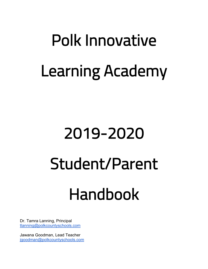# Polk Innovative Learning Academy

# 2019-2020 Student/Parent

# Handbook

Dr. Tamra Lanning, Principal tlanning@polkcountyschools.com

Jawana Goodman, Lead Teacher jgoodman@polkcountyschools.com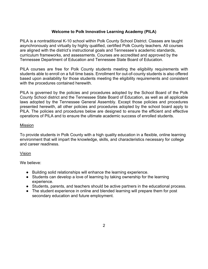#### **Welcome to Polk Innovative Learning Academy (PILA)**

PILA is a nontraditional K-10 school within Polk County School District. Classes are taught asynchronously and virtually by highly qualified, certified Polk County teachers. All courses are aligned with the district's instructional goals and Tennessee's academic standards, curriculum frameworks, and assessments. Courses are accredited and approved by the Tennessee Department of Education and Tennessee State Board of Education.

PILA courses are free for Polk County students meeting the eligibility requirements with students able to enroll on a full time basis. Enrollment for out-of-county students is also offered based upon availability for those students meeting the eligibility requirements and consistent with the procedures contained herewith.

PILA is governed by the policies and procedures adopted by the School Board of the Polk County School district and the Tennessee State Board of Education, as well as all applicable laws adopted by the Tennessee General Assembly. Except those policies and procedures presented herewith, all other policies and procedures adopted by the school board apply to PILA. The policies and procedures below are designed to ensure the efficient and effective operations of PILA and to ensure the ultimate academic success of enrolled students.

#### Mission

To provide students in Polk County with a high quality education in a flexible, online learning environment that will impart the knowledge, skills, and characteristics necessary for college and career readiness.

#### Vision

We believe:

- Building solid relationships will enhance the learning experience.
- Students can develop a love of learning by taking ownership for the learning experience.
- Students, parents, and teachers should be active partners in the educational process.
- The student experience in online and blended learning will prepare them for post secondary education and future employment.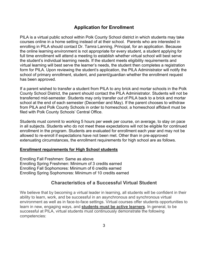# **Application for Enrollment**

PILA is a virtual public school within Polk County School district in which students may take courses online in a home setting instead of at their school. Parents who are interested in enrolling in PILA should contact Dr. Tamra Lanning, Principal, for an application. Because the online learning environment is not appropriate for every student, a student applying for full time enrollment will attend a meeting to establish whether virtual school will best serve the student's individual learning needs. If the student meets eligibility requirements and virtual learning will best serve the learner's needs, the student then completes a registration form for PILA. Upon reviewing the student's application, the PILA Administrator will notify the school of primary enrollment, student, and parent/guardian whether the enrollment request has been approved.

If a parent wished to transfer a student from PILA to any brick and mortar schools in the Polk County School District, the parent should contact the PILA Administrator. Students will not be transferred mid-semester. Students may only transfer *out o*f PILA back to a brick and mortar school at the end of each semester (December and May). If the parent chooses to withdraw from PILA and Polk County Schools in order to homeschool, a homeschool affidavit must be filed with Polk County Schools' Central Office.

Students must commit to working 5 hours per week per course, on average, to stay on pace in all subjects. Students who do not meet these expectations will not be eligible for continued enrollment in the program. Students are evaluated for enrollment each year and may not be allowed to re-enroll if expectations have not been met. Other than in pre-approved extenuating circumstances, the enrollment requirements for high school are as follows.

#### **Enrollment requirements for High School students**

Enrolling Fall Freshmen: Same as above Enrolling Spring Freshmen: Minimum of 3 credits earned Enrolling Fall Sophomores: Minimum of 6 credits earned Enrolling Spring Sophomores: Minimum of 10 credits earned

## **Characteristics of a Successful Virtual Student**

We believe that by becoming a virtual leader in learning, all students will be confident in their ability to learn, work, and be successful in an asynchronous and synchronous virtual environment as well as in face-to-face settings. Virtual courses offer students opportunities to learn in new, engaging ways, and **students must be active learners**. In general, to be successful at PILA, virtual students must continuously demonstrate the following competencies: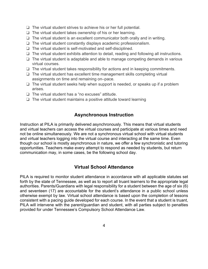- ❏ The virtual student strives to achieve his or her full potential.
- ❏ The virtual student takes ownership of his or her learning.
- ❏ The virtual student is an excellent communicator both orally and in writing.
- ❏ The virtual student constantly displays academic professionalism.
- ❏ The virtual student is self-motivated and self-disciplined.
- ❏ The virtual student exhibits attention to detail, reading and following all instructions.
- ❏ The virtual student is adaptable and able to manage competing demands in various virtual courses.
- ❏ The virtual student takes responsibility for actions and in keeping commitments.
- ❏ The virtual student has excellent time management skills completing virtual assignments on time and remaining on–pace.
- ❏ The virtual student seeks help when support is needed, or speaks up if a problem arises.
- ❏ The virtual student has a "no excuses" attitude.
- ❏ The virtual student maintains a positive attitude toward learning

## **Asynchronous Instruction**

Instruction at PILA is primarily delivered asynchronously. This means that virtual students and virtual teachers can access the virtual courses and participate at various times and need not be online simultaneously. We are not a synchronous virtual school with virtual students and virtual teachers logging into the virtual course and interacting at the same time. Even though our school is mostly asynchronous in nature, we offer a few synchronistic and tutoring opportunities. Teachers make every attempt to respond as needed by students, but return communication may, in some cases, be the following school day.

# **Virtual School Attendance**

PILA is required to monitor student attendance in accordance with all applicable statutes set forth by the state of Tennessee, as well as to report all truant learners to the appropriate legal authorities. Parents/Guardians with legal responsibility for a student between the age of six (6) and seventeen (17) are accountable for the student's attendance in a public school unless otherwise exempt by law. Virtual school attendance is based upon the completion of lessons consistent with a pacing guide developed for each course. In the event that a student is truant, PILA will intervene with the parent/guardian and student, with all parties subject to penalties provided for under Tennessee's Compulsory School Attendance Law.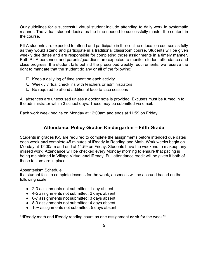Our guidelines for a successful virtual student include attending to daily work in systematic manner. The virtual student dedicates the time needed to successfully master the content in the course.

PILA students are expected to attend and participate in their online education courses as fully as they would attend and participate in a traditional classroom course. Students will be given weekly due dates and are responsible for completing those assignments in a timely manner. Both PILA personnel and parents/guardians are expected to monitor student attendance and class progress. If a student falls behind the prescribed weekly requirements, we reserve the right to mandate that the student do any or all of the following:

- ❏ Keep a daily log of time spent on each activity
- ❏ Weekly virtual check ins with teachers or administrators
- ❏ Be required to attend additional face to face sessions

All absences are unexcused unless a doctor note is provided. Excuses must be turned in to the administrator within 3 school days. These may be submitted via email.

Each work week begins on Monday at 12:00am and ends at 11:59 on Friday.

# **Attendance Policy Grades Kindergarten – Fifth Grade**

Students in grades K-5 are required to complete the assignments before intended due dates each week **and** complete 45 minutes of iReady in Reading and Math. Work weeks begin on Monday at 12:00am and end at 11:59 on Friday. Students have the weekend to makeup any missed work. Attendance will be checked every Monday morning to ensure that pacing is being maintained in Village Virtual **and** iReady. Full attendance credit will be given if both of these factors are in place.

#### Absenteeism Schedule:

If a student fails to complete lessons for the week, absences will be accrued based on the following scale:

- 2-3 assignments not submitted: 1 day absent
- 4-5 assignments not submitted: 2 days absent
- 6-7 assignments not submitted: 3 days absent
- 8-9 assignments not submitted: 4 days absent
- 10+ assignments not submitted: 5 days absent

\*\*iReady math and iReady reading count as one assignment **each** for the week\*\*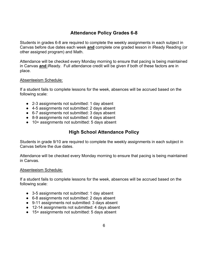# **Attendance Policy Grades 6-8**

Students in grades 6-8 are required to complete the weekly assignments in each subject in Canvas before due dates each week **and** complete one graded lesson in iReady Reading (or other assigned program) and Math.

Attendance will be checked every Monday morning to ensure that pacing is being maintained in Canvas **and** iReady. Full attendance credit will be given if both of these factors are in place.

#### Absenteeism Schedule:

If a student fails to complete lessons for the week, absences will be accrued based on the following scale:

- 2-3 assignments not submitted: 1 day absent
- 4-5 assignments not submitted: 2 days absent
- 6-7 assignments not submitted: 3 days absent
- 8-9 assignments not submitted: 4 days absent
- 10+ assignments not submitted: 5 days absent

# **High School Attendance Policy**

Students in grade 9/10 are required to complete the weekly assignments in each subject in Canvas before the due dates.

Attendance will be checked every Monday morning to ensure that pacing is being maintained in Canvas.

#### Absenteeism Schedule:

If a student fails to complete lessons for the week, absences will be accrued based on the following scale:

- 3-5 assignments not submitted: 1 day absent
- 6-8 assignments not submitted: 2 days absent
- 9-11 assignments not submitted: 3 days absent
- 12-14 assignments not submitted: 4 days absent
- 15+ assignments not submitted: 5 days absent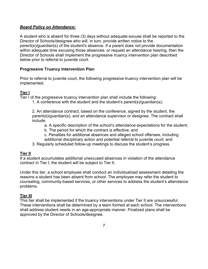#### *Board Policy on Attendance:*

A student who is absent for three (3) days without adequate excuse shall be reported to the Director of Schools/designee who will, in turn, provide written notice to the parent(s)/guardian(s) of the student's absence. If a parent does not provide documentation within adequate time excusing those absences, or request an attendance hearing, then the Director of Schools shall implement the progressive truancy intervention plan described below prior to referral to juvenile court.

#### **Progressive Truancy Intervention Plan**

Prior to referral to juvenile court, the following progressive truancy intervention plan will be implemented.

#### **Tier I**

Tier I of the progressive truancy intervention plan shall include the following:

1. A conference with the student and the student's parent(s)/guardian(s);

2. An attendance contract, based on the conference, signed by the student, the parent(s)/guardian(s), and an attendance supervisor or designee. The contract shall include:

- a. A specific description of the school's attendance expectations for the student;
- b. The period for which the contract is effective; and
- c. Penalties for additional absences and alleged school offenses, including additional disciplinary action and potential referral to juvenile court; and
- 3. Regularly scheduled follow-up meetings to discuss the student's progress.

#### **Tier II**

If a student accumulates additional unexcused absences in violation of the attendance contract in Tier I, the student will be subject to Tier II.

Under this tier, a school employee shall conduct an individualized assessment detailing the reasons a student has been absent from school. The employee may refer the student to counseling, community-based services, or other services to address the student's attendance problems.

#### **Tier III**

This tier shall be implemented if the truancy interventions under Tier II are unsuccessful. These interventions shall be determined by a team formed at each school. The interventions shall address student needs in an age-appropriate manner. Finalized plans shall be approved by the Director of Schools/designee.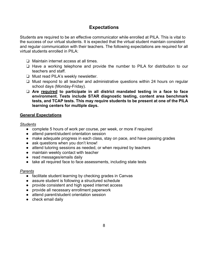# **Expectations**

Students are required to be an effective communicator while enrolled at PILA. This is vital to the success of our virtual students. It is expected that the virtual student maintain consistent and regular communication with their teachers. The following expectations are required for all virtual students enrolled in PILA:

- ❏ Maintain internet access at all times.
- ❏ Have a working telephone and provide the number to PILA for distribution to our teachers and staff.
- ❏ Must read PILA's weekly newsletter.
- ❏ Must respond to all teacher and administrative questions within 24 hours on regular school days (Monday-Friday).
- ❏ **Are required to participate in all district mandated testing in a face to face environment. Tests include STAR diagnostic testing, content area benchmark tests, and TCAP tests. This may require students to be present at one of the PILA learning centers for multiple days.**

#### **General Expectations**

#### *Students*

- complete 5 hours of work per course, per week, or more if required
- attend parent/student orientation session
- make adequate progress in each class, stay on pace, and have passing grades
- ask questions when you don't know!
- attend tutoring sessions as needed, or when required by teachers
- maintain weekly contact with teacher
- read messages/emails daily
- take all required face to face assessments, including state tests

#### *Parents*

- facilitate student learning by checking grades in Canvas
- assure student is following a structured schedule
- provide consistent and high speed internet access
- provide all necessary enrollment paperwork
- attend parent/student orientation session
- check email daily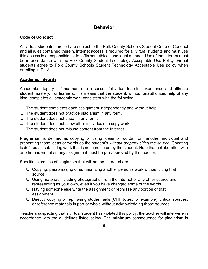# **Behavior**

#### **Code of Conduct**

All virtual students enrolled are subject to the Polk County Schools Student Code of Conduct and all rules contained therein. Internet access is required for all virtual students and must use this access in a responsible, safe, efficient, ethical, and legal manner. Use of the Internet must be in accordance with the Polk County Student Technology Acceptable Use Policy. Virtual students agree to Polk County Schools Student Technology Acceptable Use policy when enrolling in PILA.

#### **Academic Integrity**

Academic integrity is fundamental to a successful virtual learning experience and ultimate student mastery. For learners, this means that the student, without unauthorized help of any kind, completes all academic work consistent with the following:

- ❏ The student completes each assignment independently and without help.
- ❏ The student does not practice plagiarism in any form.
- ❏ The student does not cheat in any form.
- ❏ The student does not allow other individuals to copy work.
- ❏ The student does not misuse content from the Internet.

**Plagiarism** is defined as copying or using ideas or words from another individual and presenting those ideas or words as the student's *without properly citing the source.* Cheating is defined as submitting work that is not completed by the student. Note that collaboration with another individual on any assignment must be pre-approved by the teacher.

Specific examples of plagiarism that will not be tolerated are:

- ❏ Copying, paraphrasing or summarizing another person's work without citing that source.
- ❏ Using material, including photographs, from the internet or any other source and representing as your own, even if you have changed some of the words.
- ❏ Having someone else write the assignment or rephrase any portion of that assignment.
- ❏ Directly copying or rephrasing student aids (Cliff Notes, for example), critical sources, or reference materials in part or whole without acknowledging those sources.

Teachers suspecting that a virtual student has violated this policy, the teacher will intervene in accordance with the guidelines listed below. The **minimum** consequence for plagiarism is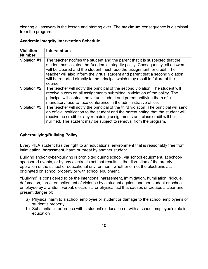clearing all answers in the lesson and starting over. The **maximum** consequence is dismissal from the program.

| <b>Violation</b><br>Number: | Intervention:                                                                                                                                                                                                                                                                                                                                                                                                             |
|-----------------------------|---------------------------------------------------------------------------------------------------------------------------------------------------------------------------------------------------------------------------------------------------------------------------------------------------------------------------------------------------------------------------------------------------------------------------|
| Violation #1                | The teacher notifies the student and the parent that it is suspected that the<br>student has violated the Academic Integrity policy. Consequently, all answers<br>will be cleared and the student must redo the assignment for credit. The<br>teacher will also inform the virtual student and parent that a second violation<br>will be reported directly to the principal which may result in failure of the<br>course. |
| Violation #2                | The teacher will notify the principal of the second violation. The student will<br>receive a zero on all assignments submitted in violation of the policy. The<br>principal will contact the virtual student and parent notifying them of a<br>mandatory face-to-face conference in the administrative office.                                                                                                            |
| Violation #3                | The teacher will notify the principal of the third violation. The principal will send<br>an official notification to the student and the parent noting that the student will<br>receive no credit for any remaining assignments and class credit will be<br>nullified. The student may be subject to removal from the program.                                                                                            |

#### **Academic Integrity Intervention Schedule**

#### **Cyberbullying/Bullying Policy**

Every PILA student has the right to an educational environment that is reasonably free from intimidation, harassment, harm or threat by another student.

Bullying and/or cyber-bullying is prohibited during school, via school equipment, at schoolsponsored events, or by any electronic act that results in the disruption of the orderly operation of the school or educational environment, whether or not the electronic act originated on school property or with school equipment.

**"**Bullying" is considered to be the intentional harassment, intimidation, humiliation, ridicule, defamation, threat or incitement of violence by a student against another student or school employee by a written, verbal, electronic, or physical act that causes or creates a clear and present danger of:

- a) Physical harm to a school employee or student or damage to the school employee's or student's property
- b) Substantial interference with a student's education or with a school employee's role in education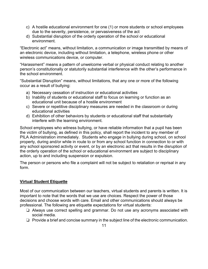- c) A hostile educational environment for one (1) or more students or school employees due to the severity, persistence, or pervasiveness of the act
- d) Substantial disruption of the orderly operation of the school or educational environment.

"Electronic act" means, without limitation, a communication or image transmitted by means of an electronic device, including without limitation, a telephone, wireless phone or other wireless communications device, or computer.

"Harassment" means a pattern of unwelcome verbal or physical conduct relating to another person's constitutionally or statutorily substantial interference with the other's performance in the school environment.

"Substantial Disruption" means, without limitations, that any one or more of the following occur as a result of bullying:

- a) Necessary cessation of instruction or educational activities
- b) Inability of students or educational staff to focus on learning or function as an educational unit because of a hostile environment
- c) Severe or repetitive disciplinary measures are needed in the classroom or during educational activities
- d) Exhibition of other behaviors by students or educational staff that substantially interfere with the learning environment.

School employees who witness bullying, or have reliable information that a pupil has been the victim of bullying, as defined in this policy, shall report the incident to any member of PILA Administration immediately. Students who engage in bullying during school, on school property, during and/or while in route to or from any school function in connection to or with any school sponsored activity or event, or by an electronic act that results in the disruption of the orderly operation of the school or educational environment are subject to disciplinary action, up to and including suspension or expulsion.

The person or persons who file a complaint will not be subject to retaliation or reprisal in any form.

## **Virtual Student Etiquette**

Most of our communication between our teachers, virtual students and parents is written. It is important to note that the words that we use are choices. Respect the power of those decisions and choose words with care. Email and other communications should always be professional. The following are etiquette expectations for virtual students:

- ❏ Always use correct spelling and grammar. Do not use any acronyms associated with social media.
- ❏ Provide a brief and concise summary in the subject line of the electronic communication.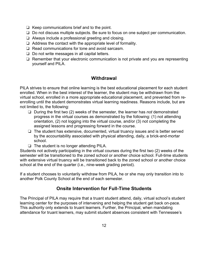- ❏ Keep communications brief and to the point.
- ❏ Do not discuss multiple subjects. Be sure to focus on one subject per communication.
- ❏ Always include a professional greeting and closing.
- ❏ Address the contact with the appropriate level of formality.
- ❏ Read communications for tone and avoid sarcasm.
- ❏ Do not write messages in all capital letters.
- ❏ Remember that your electronic communication is not private and you are representing yourself and PILA.

# **Withdrawal**

PILA strives to ensure that online learning is the best educational placement for each student enrolled. When in the best interest of the learner, the student may be withdrawn from the virtual school, enrolled in a more appropriate educational placement, and prevented from reenrolling until the student demonstrates virtual learning readiness. Reasons include, but are not limited to, the following:

- ❏ During the first two (2) weeks of the semester, the learner has *not* demonstrated progress in the virtual courses as demonstrated by the following: (1) not attending orientation, (2) not logging into the virtual course, and/or (3) not completing the assigned lessons and progressing forward in the course.
- ❏ The student has extensive, documented, virtual truancy issues and is better served by the accountability associated with physical attending, daily, a brick-and-mortar school.
- ❏ The student is no longer attending PILA.

Students not actively participating in the virtual courses during the first two (2) weeks of the semester will be transitioned to the zoned school or another choice school. Full-time students with extensive virtual truancy will be transitioned back to the zoned school or another choice school at the end of the quarter (i.e., nine-week grading period).

If a student chooses to voluntarily withdraw from PILA, he or she may only transition into to another Polk County School at the end of each semester.

# **Onsite Intervention for Full-Time Students**

The Principal of PILA may require that a truant student attend, daily, virtual school's student learning center for the purposes of intervening and helping the student get back on-pace. This authority only extends to truant learners. Further, the Principal, when mandating attendance for truant learners, may submit student absences consistent with Tennessee's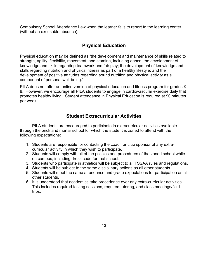Compulsory School Attendance Law when the learner fails to report to the learning center (without an excusable absence).

# **Physical Education**

Physical education may be defined as "the development and maintenance of skills related to strength, agility, flexibility, movement, and stamina, including dance; the development of knowledge and skills regarding teamwork and fair play; the development of knowledge and skills regarding nutrition and physical fitness as part of a healthy lifestyle; and the development of positive attitudes regarding sound nutrition and physical activity as a component of personal well-being."

PILA does not offer an online version of physical education and fitness program for grades K-8. However, we encourage all PILA students to engage in cardiovascular exercise daily that promotes healthy living. Student attendance in Physical Education is required at 90 minutes per week.

# **Student Extracurricular Activities**

PILA students are encouraged to participate in extracurricular activities available through the brick and mortar school for which the student is zoned to attend with the following expectations:

- 1. Students are responsible for contacting the coach or club sponsor of any extracurricular activity in which they wish to participate.
- 2. Students will comply with all of the policies and procedures of the zoned school while on campus, including dress code for that school.
- 3. Students who participate in athletics will be subject to all TSSAA rules and regulations.
- 4. Students will be subject to the same disciplinary actions as all other students.
- 5. Students will meet the same attendance and grade expectations for participation as all other students.
- 6. It is understood that academics take precedence over any extra-curricular activities. This includes required testing sessions, required tutoring, and class meetings/field trips.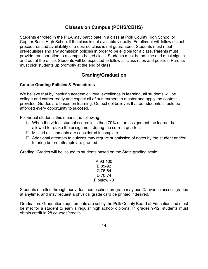# **Classes on Campus (PCHS/CBHS)**

Students enrolled in the PILA may participate in a class at Polk County High School or Copper Basin High School if the class is not available virtually. Enrollment will follow school procedures and availability of a desired class is not guaranteed. Students must meet prerequisites and any admission policies in order to be eligible for a class. Parents must provide transportation to a campus-based class. Students must be on time and must sign in and out at the office. Students will be expected to follow all class rules and policies. Parents must pick students up promptly at the end of class.

# **Grading/Graduation**

#### **Course Grading Policies & Procedures**

We believe that by inspiring academic virtual excellence in learning, all students will be college and career ready and expect all of our learners to master and apply the content provided. Grades are based on learning. Our school believes that our students should be afforded every opportunity to succeed.

For virtual students this means the following:

- ❏ When the virtual student scores less than 70% on an assignment the learner is allowed to retake the assignment during the current quarter.
- ❏ Missed assignments are considered incomplete.
- ❏ Additional attempts to quizzes may require submission of notes by the student and/or tutoring before attempts are granted.

Grading: Grades will be issued to students based on the State grading scale:

A 93-100 B 85-92 C 75-84 D 70-74 F below 70

Students enrolled through our virtual homeschool program may use Canvas to access grades at anytime, and may request a physical grade card be printed if desired.

Graduation: Graduation requirements are set by the Polk County Board of Education and must be met for a student to earn a regular high school diploma. In grades 9-12, students must obtain credit in 28 courses/credits: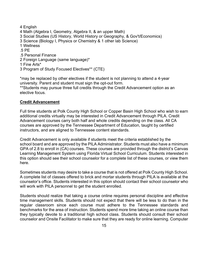4 English 4 Math (Algebra I, Geometry, Algebra II, & an upper Math) 3 Social Studies (US History, World History or Geography, & Gov't/Economics) 3 Science (Biology I, Physics or Chemistry & 1 other lab Science) 1 Wellness .5 PE .5 Personal Finance 2 Foreign Language (same language)\* 1 Fine Arts\* 3 Program of Study Focused Electives\*\* (CTE)

\*may be replaced by other electives if the student is not planning to attend a 4-year university. Parent and student must sign the opt-out form.

\*\*Students may pursue three full credits through the Credit Advancement option as an elective focus.

#### **Credit Advancement**

Full time students at Polk County High School or Copper Basin High School who wish to earn additional credits virtually may be interested in Credit Advancement through PILA. Credit Advancement courses carry both half and whole credits depending on the class. All CA courses are approved by the Tennessee Department of Education, taught by certified instructors, and are aligned to Tennessee content standards.

Credit Advancement is only available if students meet the criteria established by the school board and are approved by the PILA Administrator. Students must also have a minimum GPA of 2.8 to enroll in (CA) courses. These courses are provided through the district's Canvas Learning Management System using Florida Virtual School Curriculum. Students interested in this option should see their school counselor for a complete list of these courses, or view them here.

Sometimes students may desire to take a course that is not offered at Polk County High School. A complete list of classes offered to brick and mortar students through PILA is available at the counselor's office. Students interested in this option should contact their school counselor who will work with PILA personnel to get the student enrolled.

Students should realize that taking a course online requires personal discipline and effective time management skills. Students should not expect that there will be less to do than in the regular classroom since each course must adhere to the Tennessee standards and benchmarks for the area of instruction. Students spend more time taking an online course than they typically devote to a traditional high school class. Students should consult their school counselor and Onsite Facilitator to make sure that they are ready for online learning. Computer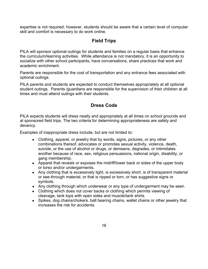expertise is not required; however, students should be aware that a certain level of computer skill and comfort is necessary to do work online.

# **Field Trips**

PILA will sponsor optional outings for students and families on a regular basis that enhance the curriculum/learning activities. While attendance is not mandatory, it is an opportunity to socialize with other school participants, have conversations, share practices that work and academic enrichment.

Parents are responsible for the cost of transportation and any entrance fees associated with optional outings.

PILA parents and students are expected to conduct themselves appropriately at all optional student outings. Parents /guardians are responsible for the supervision of their children at all times and must attend outings with their students.

# **Dress Code**

PILA expects students will dress neatly and appropriately at all times on school grounds and at sponsored field trips. The two criteria for determining appropriateness are safety and decency.

Examples of inappropriate dress include, but are not limited to:

- Clothing, apparel, or jewelry that by words, signs, pictures, or any other combinations thereof, advocates or promotes sexual activity, violence, death, suicide, or the use of alcohol or drugs, or demeans, degrades, or intimidates another because of race, sex, religious persuasions, national origin, disability, or gang membership.
- Apparel that reveals or exposes the midriff/lower back or sides of the upper body or torso and/or undergarments.
- Any clothing that is excessively tight, is excessively short, is of transparent material or see-through material, or that is ripped or torn, or has suggestive signs or symbols.
- Any clothing through which underwear or any type of undergarment may be seen.
- Clothing which does not cover backs or clothing which permits viewing of cleavage, tank tops with open sides and muscle/tank shirts.
- Spikes, dog chains/chokers, ball bearing chains, wallet chains or other jewelry that increases the risk for accidents.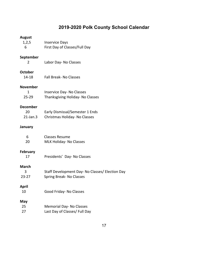# **2019-2020 Polk County School Calendar**

| <b>August</b><br>1,2,5<br>6          | <b>Inservice Days</b><br>First Day of Classes/Full Day                      |
|--------------------------------------|-----------------------------------------------------------------------------|
| September<br>2                       | Labor Day- No Classes                                                       |
| <b>October</b><br>14-18              | <b>Fall Break-No Classes</b>                                                |
| <b>November</b><br>1<br>$25 - 29$    | <b>Inservice Day-No Classes</b><br>Thanksgiving Holiday- No Classes         |
| <b>December</b><br>20<br>$21$ -Jan.3 | Early Dismissal/Semester 1 Ends<br>Christmas Holiday- No Classes            |
| January                              |                                                                             |
| 6<br>20                              | <b>Classes Resume</b><br><b>MLK Holiday- No Classes</b>                     |
| <b>February</b><br>17                | Presidents' Day- No Classes                                                 |
| <b>March</b><br>3<br>$23 - 27$       | Staff Development Day- No Classes/ Election Day<br>Spring Break- No Classes |
| April<br>10                          | Good Friday- No Classes                                                     |
| May<br>25<br>27                      | <b>Memorial Day-No Classes</b><br>Last Day of Classes/ Full Day             |